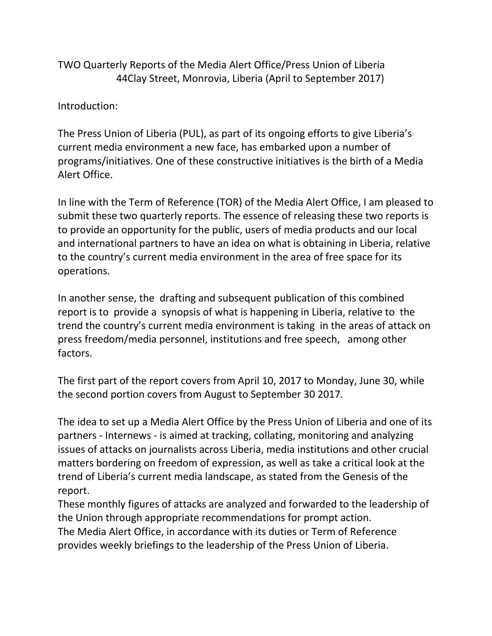TWO Quarterly Reports of the Media Alert Office/Press Union of Liberia 44Clay Street, Monrovia, Liberia (April to September 2017)

Introduction:

The Press Union of Liberia (PUL), as part of its ongoing efforts to give Liberia's current media environment a new face, has embarked upon a number of programs/initiatives. One of these constructive initiatives is the birth of a Media Alert Office.

In line with the Term of Reference (TOR) of the Media Alert Office, I am pleased to submit these two quarterly reports. The essence of releasing these two reports is to provide an opportunity for the public, users of media products and our local and international partners to have an idea on what is obtaining in Liberia, relative to the country's current media environment in the area of free space for its operations.

In another sense, the drafting and subsequent publication of this combined report is to provide a synopsis of what is happening in Liberia, relative to the trend the country's current media environment is taking in the areas of attack on press freedom/media personnel, institutions and free speech, among other factors.

The first part of the report covers from April 10, 2017 to Monday, June 30, while the second portion covers from August to September 30 2017.

The idea to set up a Media Alert Office by the Press Union of Liberia and one of its partners - Internews - is aimed at tracking, collating, monitoring and analyzing issues of attacks on journalists across Liberia, media institutions and other crucial matters bordering on freedom of expression, as well as take a critical look at the trend of Liberia's current media landscape, as stated from the Genesis of the report.

These monthly figures of attacks are analyzed and forwarded to the leadership of the Union through appropriate recommendations for prompt action. The Media Alert Office, in accordance with its duties or Term of Reference provides weekly briefings to the leadership of the Press Union of Liberia.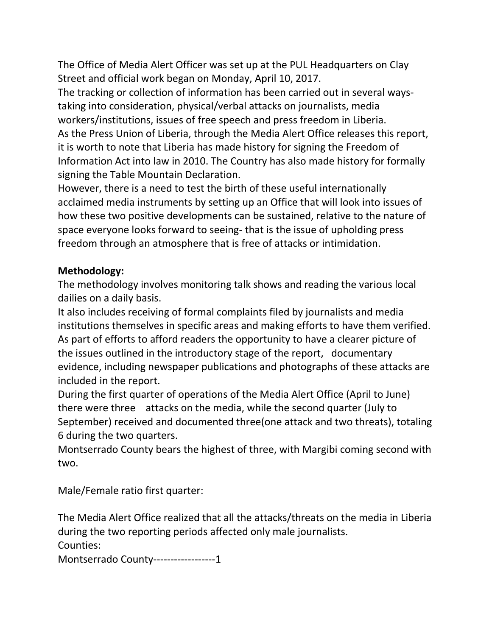The Office of Media Alert Officer was set up at the PUL Headquarters on Clay Street and official work began on Monday, April 10, 2017.

The tracking or collection of information has been carried out in several waystaking into consideration, physical/verbal attacks on journalists, media workers/institutions, issues of free speech and press freedom in Liberia. As the Press Union of Liberia, through the Media Alert Office releases this report, it is worth to note that Liberia has made history for signing the Freedom of Information Act into law in 2010. The Country has also made history for formally signing the Table Mountain Declaration.

However, there is a need to test the birth of these useful internationally acclaimed media instruments by setting up an Office that will look into issues of how these two positive developments can be sustained, relative to the nature of space everyone looks forward to seeing- that is the issue of upholding press freedom through an atmosphere that is free of attacks or intimidation.

# **Methodology:**

The methodology involves monitoring talk shows and reading the various local dailies on a daily basis.

It also includes receiving of formal complaints filed by journalists and media institutions themselves in specific areas and making efforts to have them verified. As part of efforts to afford readers the opportunity to have a clearer picture of the issues outlined in the introductory stage of the report, documentary evidence, including newspaper publications and photographs of these attacks are included in the report.

During the first quarter of operations of the Media Alert Office (April to June) there were three attacks on the media, while the second quarter (July to September) received and documented three(one attack and two threats), totaling 6 during the two quarters.

Montserrado County bears the highest of three, with Margibi coming second with two.

Male/Female ratio first quarter:

The Media Alert Office realized that all the attacks/threats on the media in Liberia during the two reporting periods affected only male journalists.

Counties:

Montserrado County------------------1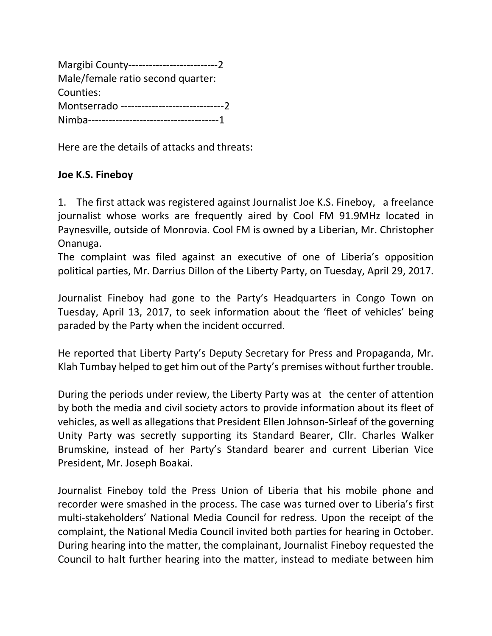| Margibi County------------------------------2    |
|--------------------------------------------------|
| Male/female ratio second quarter:                |
| Counties:                                        |
| Montserrado -----------------------------------2 |
|                                                  |

Here are the details of attacks and threats:

# **Joe K.S. Fineboy**

1. The first attack was registered against Journalist Joe K.S. Fineboy, a freelance journalist whose works are frequently aired by Cool FM 91.9MHz located in Paynesville, outside of Monrovia. Cool FM is owned by a Liberian, Mr. Christopher Onanuga.

The complaint was filed against an executive of one of Liberia's opposition political parties, Mr. Darrius Dillon of the Liberty Party, on Tuesday, April 29, 2017.

Journalist Fineboy had gone to the Party's Headquarters in Congo Town on Tuesday, April 13, 2017, to seek information about the 'fleet of vehicles' being paraded by the Party when the incident occurred.

He reported that Liberty Party's Deputy Secretary for Press and Propaganda, Mr. Klah Tumbay helped to get him out of the Party's premises without further trouble.

During the periods under review, the Liberty Party was at the center of attention by both the media and civil society actors to provide information about its fleet of vehicles, as well as allegations that President Ellen Johnson-Sirleaf of the governing Unity Party was secretly supporting its Standard Bearer, Cllr. Charles Walker Brumskine, instead of her Party's Standard bearer and current Liberian Vice President, Mr. Joseph Boakai.

Journalist Fineboy told the Press Union of Liberia that his mobile phone and recorder were smashed in the process. The case was turned over to Liberia's first multi-stakeholders' National Media Council for redress. Upon the receipt of the complaint, the National Media Council invited both parties for hearing in October. During hearing into the matter, the complainant, Journalist Fineboy requested the Council to halt further hearing into the matter, instead to mediate between him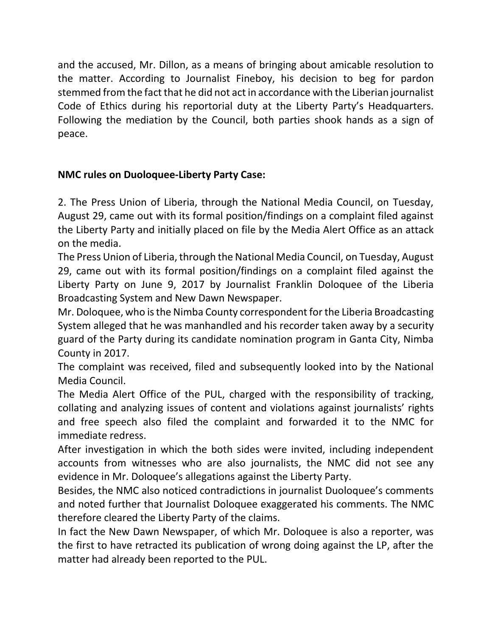and the accused, Mr. Dillon, as a means of bringing about amicable resolution to the matter. According to Journalist Fineboy, his decision to beg for pardon stemmed from the fact that he did not act in accordance with the Liberian journalist Code of Ethics during his reportorial duty at the Liberty Party's Headquarters. Following the mediation by the Council, both parties shook hands as a sign of peace.

# **NMC rules on Duoloquee-Liberty Party Case:**

2. The Press Union of Liberia, through the National Media Council, on Tuesday, August 29, came out with its formal position/findings on a complaint filed against the Liberty Party and initially placed on file by the Media Alert Office as an attack on the media.

The Press Union of Liberia, through the National Media Council, on Tuesday, August 29, came out with its formal position/findings on a complaint filed against the Liberty Party on June 9, 2017 by Journalist Franklin Doloquee of the Liberia Broadcasting System and New Dawn Newspaper.

Mr. Doloquee, who is the Nimba County correspondent for the Liberia Broadcasting System alleged that he was manhandled and his recorder taken away by a security guard of the Party during its candidate nomination program in Ganta City, Nimba County in 2017.

The complaint was received, filed and subsequently looked into by the National Media Council.

The Media Alert Office of the PUL, charged with the responsibility of tracking, collating and analyzing issues of content and violations against journalists' rights and free speech also filed the complaint and forwarded it to the NMC for immediate redress.

After investigation in which the both sides were invited, including independent accounts from witnesses who are also journalists, the NMC did not see any evidence in Mr. Doloquee's allegations against the Liberty Party.

Besides, the NMC also noticed contradictions in journalist Duoloquee's comments and noted further that Journalist Doloquee exaggerated his comments. The NMC therefore cleared the Liberty Party of the claims.

In fact the New Dawn Newspaper, of which Mr. Doloquee is also a reporter, was the first to have retracted its publication of wrong doing against the LP, after the matter had already been reported to the PUL.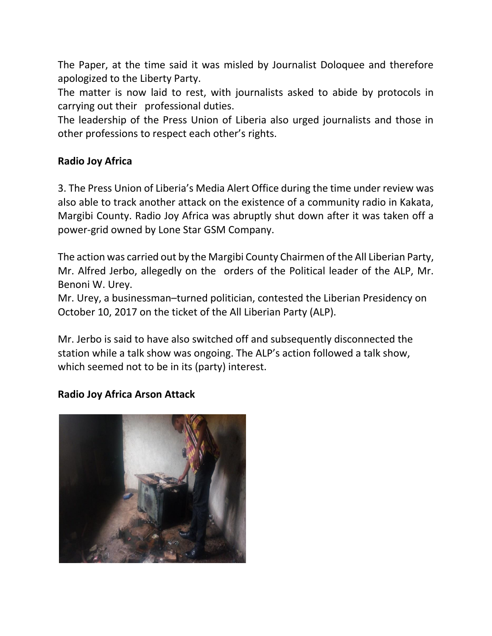The Paper, at the time said it was misled by Journalist Doloquee and therefore apologized to the Liberty Party.

The matter is now laid to rest, with journalists asked to abide by protocols in carrying out their professional duties.

The leadership of the Press Union of Liberia also urged journalists and those in other professions to respect each other's rights.

## **Radio Joy Africa**

3. The Press Union of Liberia's Media Alert Office during the time under review was also able to track another attack on the existence of a community radio in Kakata, Margibi County. Radio Joy Africa was abruptly shut down after it was taken off a power-grid owned by Lone Star GSM Company.

The action was carried out by the Margibi County Chairmen of the All Liberian Party, Mr. Alfred Jerbo, allegedly on the orders of the Political leader of the ALP, Mr. Benoni W. Urey.

Mr. Urey, a businessman–turned politician, contested the Liberian Presidency on October 10, 2017 on the ticket of the All Liberian Party (ALP).

Mr. Jerbo is said to have also switched off and subsequently disconnected the station while a talk show was ongoing. The ALP's action followed a talk show, which seemed not to be in its (party) interest.

# **Radio Joy Africa Arson Attack**

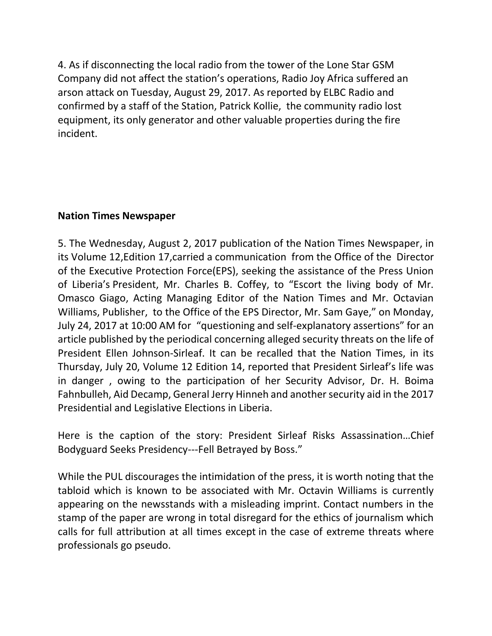4. As if disconnecting the local radio from the tower of the Lone Star GSM Company did not affect the station's operations, Radio Joy Africa suffered an arson attack on Tuesday, August 29, 2017. As reported by ELBC Radio and confirmed by a staff of the Station, Patrick Kollie, the community radio lost equipment, its only generator and other valuable properties during the fire incident.

# **Nation Times Newspaper**

5. The Wednesday, August 2, 2017 publication of the Nation Times Newspaper, in its Volume 12,Edition 17,carried a communication from the Office of the Director of the Executive Protection Force(EPS), seeking the assistance of the Press Union of Liberia's President, Mr. Charles B. Coffey, to "Escort the living body of Mr. Omasco Giago, Acting Managing Editor of the Nation Times and Mr. Octavian Williams, Publisher, to the Office of the EPS Director, Mr. Sam Gaye," on Monday, July 24, 2017 at 10:00 AM for "questioning and self-explanatory assertions" for an article published by the periodical concerning alleged security threats on the life of President Ellen Johnson-Sirleaf. It can be recalled that the Nation Times, in its Thursday, July 20, Volume 12 Edition 14, reported that President Sirleaf's life was in danger , owing to the participation of her Security Advisor, Dr. H. Boima Fahnbulleh, Aid Decamp, General Jerry Hinneh and another security aid in the 2017 Presidential and Legislative Elections in Liberia.

Here is the caption of the story: President Sirleaf Risks Assassination…Chief Bodyguard Seeks Presidency---Fell Betrayed by Boss."

While the PUL discourages the intimidation of the press, it is worth noting that the tabloid which is known to be associated with Mr. Octavin Williams is currently appearing on the newsstands with a misleading imprint. Contact numbers in the stamp of the paper are wrong in total disregard for the ethics of journalism which calls for full attribution at all times except in the case of extreme threats where professionals go pseudo.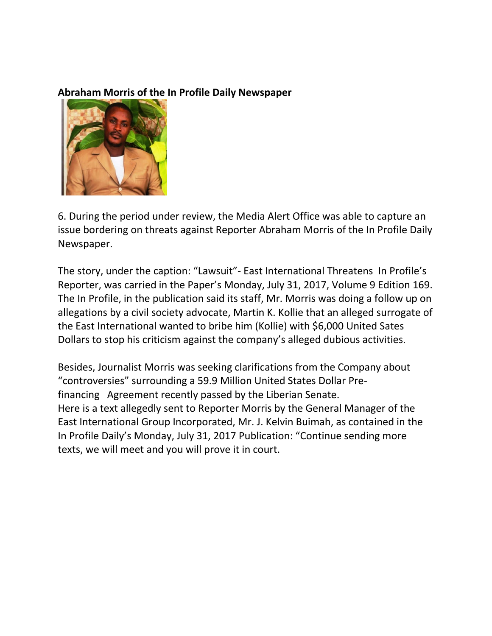## **Abraham Morris of the In Profile Daily Newspaper**



6. During the period under review, the Media Alert Office was able to capture an issue bordering on threats against Reporter Abraham Morris of the In Profile Daily Newspaper.

The story, under the caption: "Lawsuit"- East International Threatens In Profile's Reporter, was carried in the Paper's Monday, July 31, 2017, Volume 9 Edition 169. The In Profile, in the publication said its staff, Mr. Morris was doing a follow up on allegations by a civil society advocate, Martin K. Kollie that an alleged surrogate of the East International wanted to bribe him (Kollie) with \$6,000 United Sates Dollars to stop his criticism against the company's alleged dubious activities.

Besides, Journalist Morris was seeking clarifications from the Company about "controversies" surrounding a 59.9 Million United States Dollar Prefinancing Agreement recently passed by the Liberian Senate. Here is a text allegedly sent to Reporter Morris by the General Manager of the East International Group Incorporated, Mr. J. Kelvin Buimah, as contained in the In Profile Daily's Monday, July 31, 2017 Publication: "Continue sending more texts, we will meet and you will prove it in court.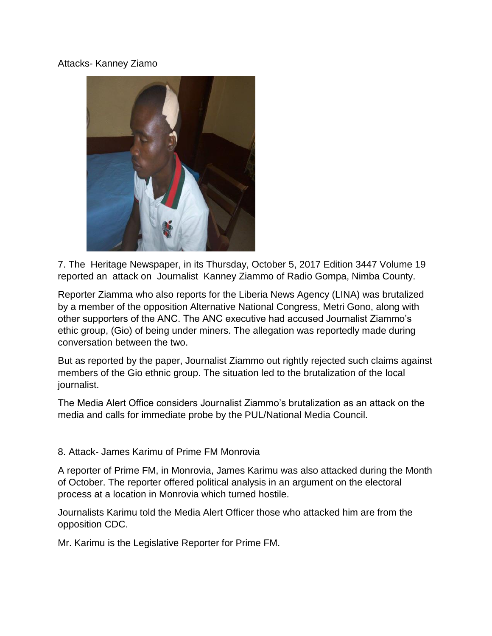### Attacks- Kanney Ziamo



7. The Heritage Newspaper, in its Thursday, October 5, 2017 Edition 3447 Volume 19 reported an attack on Journalist Kanney Ziammo of Radio Gompa, Nimba County.

Reporter Ziamma who also reports for the Liberia News Agency (LINA) was brutalized by a member of the opposition Alternative National Congress, Metri Gono, along with other supporters of the ANC. The ANC executive had accused Journalist Ziammo's ethic group, (Gio) of being under miners. The allegation was reportedly made during conversation between the two.

But as reported by the paper, Journalist Ziammo out rightly rejected such claims against members of the Gio ethnic group. The situation led to the brutalization of the local journalist.

The Media Alert Office considers Journalist Ziammo's brutalization as an attack on the media and calls for immediate probe by the PUL/National Media Council.

#### 8. Attack- James Karimu of Prime FM Monrovia

A reporter of Prime FM, in Monrovia, James Karimu was also attacked during the Month of October. The reporter offered political analysis in an argument on the electoral process at a location in Monrovia which turned hostile.

Journalists Karimu told the Media Alert Officer those who attacked him are from the opposition CDC.

Mr. Karimu is the Legislative Reporter for Prime FM.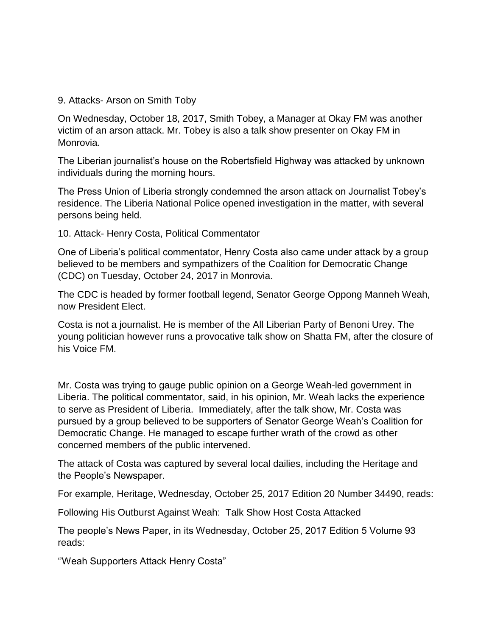#### 9. Attacks- Arson on Smith Toby

On Wednesday, October 18, 2017, Smith Tobey, a Manager at Okay FM was another victim of an arson attack. Mr. Tobey is also a talk show presenter on Okay FM in Monrovia.

The Liberian journalist's house on the Robertsfield Highway was attacked by unknown individuals during the morning hours.

The Press Union of Liberia strongly condemned the arson attack on Journalist Tobey's residence. The Liberia National Police opened investigation in the matter, with several persons being held.

10. Attack- Henry Costa, Political Commentator

One of Liberia's political commentator, Henry Costa also came under attack by a group believed to be members and sympathizers of the Coalition for Democratic Change (CDC) on Tuesday, October 24, 2017 in Monrovia.

The CDC is headed by former football legend, Senator George Oppong Manneh Weah, now President Elect.

Costa is not a journalist. He is member of the All Liberian Party of Benoni Urey. The young politician however runs a provocative talk show on Shatta FM, after the closure of his Voice FM.

Mr. Costa was trying to gauge public opinion on a George Weah-led government in Liberia. The political commentator, said, in his opinion, Mr. Weah lacks the experience to serve as President of Liberia. Immediately, after the talk show, Mr. Costa was pursued by a group believed to be supporters of Senator George Weah's Coalition for Democratic Change. He managed to escape further wrath of the crowd as other concerned members of the public intervened.

The attack of Costa was captured by several local dailies, including the Heritage and the People's Newspaper.

For example, Heritage, Wednesday, October 25, 2017 Edition 20 Number 34490, reads:

Following His Outburst Against Weah: Talk Show Host Costa Attacked

The people's News Paper, in its Wednesday, October 25, 2017 Edition 5 Volume 93 reads:

''Weah Supporters Attack Henry Costa"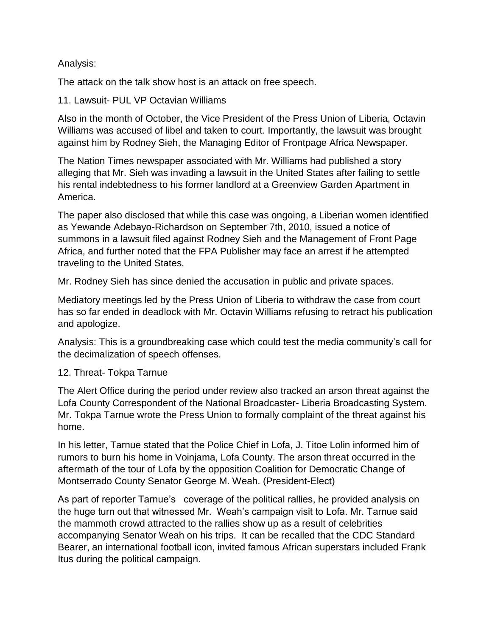### Analysis:

The attack on the talk show host is an attack on free speech.

11. Lawsuit- PUL VP Octavian Williams

Also in the month of October, the Vice President of the Press Union of Liberia, Octavin Williams was accused of libel and taken to court. Importantly, the lawsuit was brought against him by Rodney Sieh, the Managing Editor of Frontpage Africa Newspaper.

The Nation Times newspaper associated with Mr. Williams had published a story alleging that Mr. Sieh was invading a lawsuit in the United States after failing to settle his rental indebtedness to his former landlord at a Greenview Garden Apartment in America.

The paper also disclosed that while this case was ongoing, a Liberian women identified as Yewande Adebayo-Richardson on September 7th, 2010, issued a notice of summons in a lawsuit filed against Rodney Sieh and the Management of Front Page Africa, and further noted that the FPA Publisher may face an arrest if he attempted traveling to the United States.

Mr. Rodney Sieh has since denied the accusation in public and private spaces.

Mediatory meetings led by the Press Union of Liberia to withdraw the case from court has so far ended in deadlock with Mr. Octavin Williams refusing to retract his publication and apologize.

Analysis: This is a groundbreaking case which could test the media community's call for the decimalization of speech offenses.

#### 12. Threat- Tokpa Tarnue

The Alert Office during the period under review also tracked an arson threat against the Lofa County Correspondent of the National Broadcaster- Liberia Broadcasting System. Mr. Tokpa Tarnue wrote the Press Union to formally complaint of the threat against his home.

In his letter, Tarnue stated that the Police Chief in Lofa, J. Titoe Lolin informed him of rumors to burn his home in Voinjama, Lofa County. The arson threat occurred in the aftermath of the tour of Lofa by the opposition Coalition for Democratic Change of Montserrado County Senator George M. Weah. (President-Elect)

As part of reporter Tarnue's coverage of the political rallies, he provided analysis on the huge turn out that witnessed Mr. Weah's campaign visit to Lofa. Mr. Tarnue said the mammoth crowd attracted to the rallies show up as a result of celebrities accompanying Senator Weah on his trips. It can be recalled that the CDC Standard Bearer, an international football icon, invited famous African superstars included Frank Itus during the political campaign.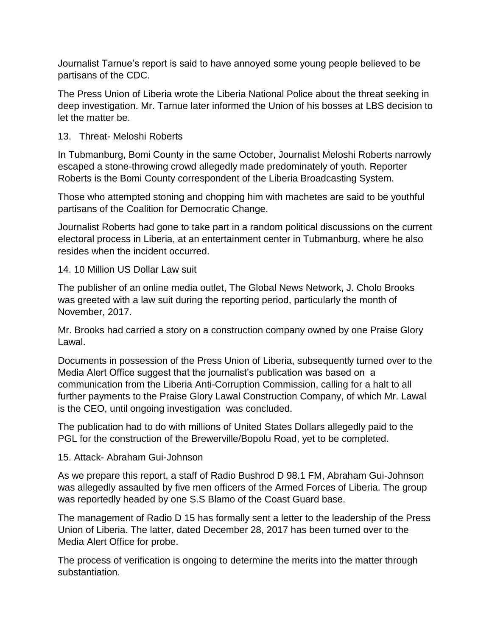Journalist Tarnue's report is said to have annoyed some young people believed to be partisans of the CDC.

The Press Union of Liberia wrote the Liberia National Police about the threat seeking in deep investigation. Mr. Tarnue later informed the Union of his bosses at LBS decision to let the matter be.

## 13. Threat- Meloshi Roberts

In Tubmanburg, Bomi County in the same October, Journalist Meloshi Roberts narrowly escaped a stone-throwing crowd allegedly made predominately of youth. Reporter Roberts is the Bomi County correspondent of the Liberia Broadcasting System.

Those who attempted stoning and chopping him with machetes are said to be youthful partisans of the Coalition for Democratic Change.

Journalist Roberts had gone to take part in a random political discussions on the current electoral process in Liberia, at an entertainment center in Tubmanburg, where he also resides when the incident occurred.

## 14. 10 Million US Dollar Law suit

The publisher of an online media outlet, The Global News Network, J. Cholo Brooks was greeted with a law suit during the reporting period, particularly the month of November, 2017.

Mr. Brooks had carried a story on a construction company owned by one Praise Glory Lawal.

Documents in possession of the Press Union of Liberia, subsequently turned over to the Media Alert Office suggest that the journalist's publication was based on a communication from the Liberia Anti-Corruption Commission, calling for a halt to all further payments to the Praise Glory Lawal Construction Company, of which Mr. Lawal is the CEO, until ongoing investigation was concluded.

The publication had to do with millions of United States Dollars allegedly paid to the PGL for the construction of the Brewerville/Bopolu Road, yet to be completed.

## 15. Attack- Abraham Gui-Johnson

As we prepare this report, a staff of Radio Bushrod D 98.1 FM, Abraham Gui-Johnson was allegedly assaulted by five men officers of the Armed Forces of Liberia. The group was reportedly headed by one S.S Blamo of the Coast Guard base.

The management of Radio D 15 has formally sent a letter to the leadership of the Press Union of Liberia. The latter, dated December 28, 2017 has been turned over to the Media Alert Office for probe.

The process of verification is ongoing to determine the merits into the matter through substantiation.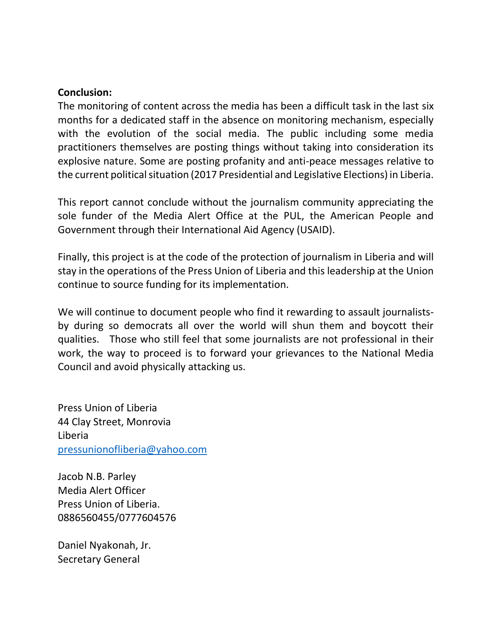### **Conclusion:**

The monitoring of content across the media has been a difficult task in the last six months for a dedicated staff in the absence on monitoring mechanism, especially with the evolution of the social media. The public including some media practitioners themselves are posting things without taking into consideration its explosive nature. Some are posting profanity and anti-peace messages relative to the current political situation (2017 Presidential and Legislative Elections) in Liberia.

This report cannot conclude without the journalism community appreciating the sole funder of the Media Alert Office at the PUL, the American People and Government through their International Aid Agency (USAID).

Finally, this project is at the code of the protection of journalism in Liberia and will stay in the operations of the Press Union of Liberia and this leadership at the Union continue to source funding for its implementation.

We will continue to document people who find it rewarding to assault journalistsby during so democrats all over the world will shun them and boycott their qualities. Those who still feel that some journalists are not professional in their work, the way to proceed is to forward your grievances to the National Media Council and avoid physically attacking us.

Press Union of Liberia 44 Clay Street, Monrovia Liberia [pressunionofliberia@yahoo.com](mailto:pressunionofliberia@yahoo.com)

Jacob N.B. Parley Media Alert Officer Press Union of Liberia. 0886560455/0777604576

Daniel Nyakonah, Jr. Secretary General